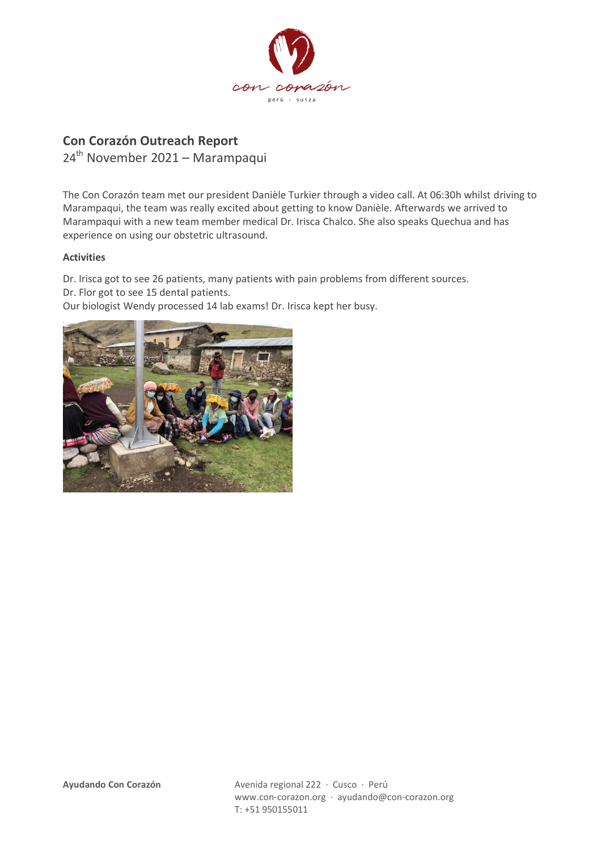

## **Con Corazón Outreach Report**

24th November 2021 – Marampaqui

The Con Corazón team met our president Danièle Turkier through a video call. At 06:30h whilst driving to Marampaqui, the team was really excited about getting to know Danièle. Afterwards we arrived to Marampaqui with a new team member medical Dr. Irisca Chalco. She also speaks Quechua and has experience on using our obstetric ultrasound.

## **Activities**

Dr. Irisca got to see 26 patients, many patients with pain problems from different sources. Dr. Flor got to see 15 dental patients.

Our biologist Wendy processed 14 lab exams! Dr. Irisca kept her busy.

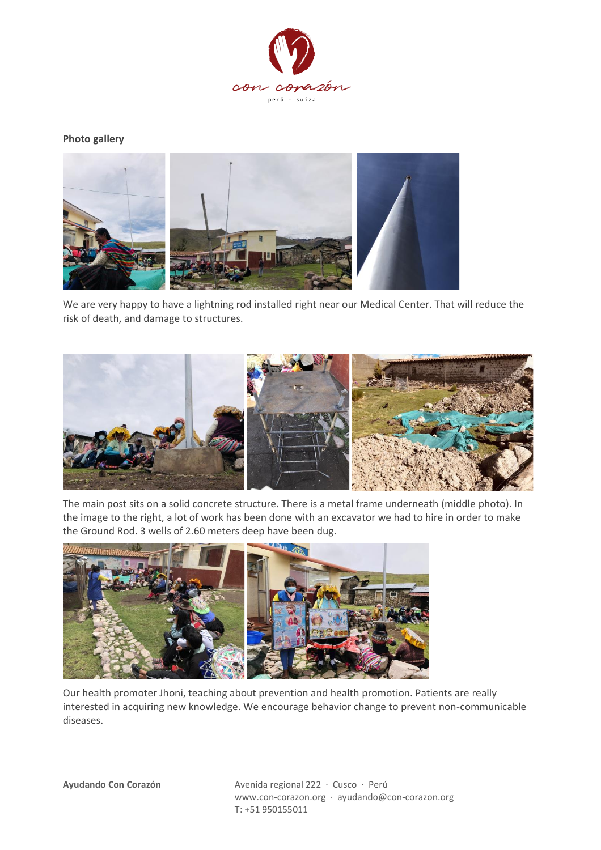

**Photo gallery**



We are very happy to have a lightning rod installed right near our Medical Center. That will reduce the risk of death, and damage to structures.



The main post sits on a solid concrete structure. There is a metal frame underneath (middle photo). In the image to the right, a lot of work has been done with an excavator we had to hire in order to make the Ground Rod. 3 wells of 2.60 meters deep have been dug.



Our health promoter Jhoni, teaching about prevention and health promotion. Patients are really interested in acquiring new knowledge. We encourage behavior change to prevent non-communicable diseases.

**Ayudando Con Corazón** Avenida regional 222 · Cusco · Perú www.con-corazon.org · ayudando@con-corazon.org T: +51 950155011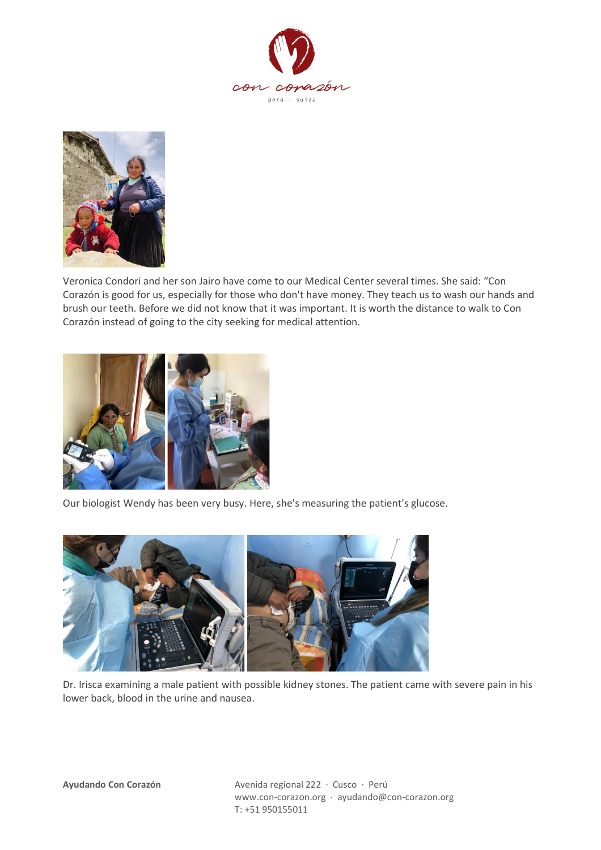



Veronica Condori and her son Jairo have come to our Medical Center several times. She said: "Con Corazón is good for us, especially for those who don't have money. They teach us to wash our hands and brush our teeth. Before we did not know that it was important. It is worth the distance to walk to Con Corazón instead of going to the city seeking for medical attention.



Our biologist Wendy has been very busy. Here, she's measuring the patient's glucose.



Dr. Irisca examining a male patient with possible kidney stones. The patient came with severe pain in his lower back, blood in the urine and nausea.